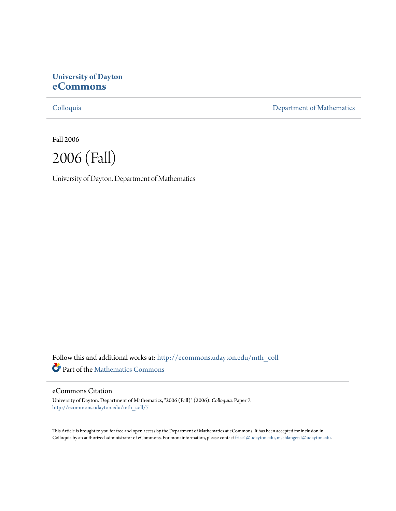# **University of Dayton [eCommons](http://ecommons.udayton.edu?utm_source=ecommons.udayton.edu%2Fmth_coll%2F7&utm_medium=PDF&utm_campaign=PDFCoverPages)**

[Colloquia](http://ecommons.udayton.edu/mth_coll?utm_source=ecommons.udayton.edu%2Fmth_coll%2F7&utm_medium=PDF&utm_campaign=PDFCoverPages) [Department of Mathematics](http://ecommons.udayton.edu/mth?utm_source=ecommons.udayton.edu%2Fmth_coll%2F7&utm_medium=PDF&utm_campaign=PDFCoverPages)

Fall 2006



University of Dayton. Department of Mathematics

Follow this and additional works at: [http://ecommons.udayton.edu/mth\\_coll](http://ecommons.udayton.edu/mth_coll?utm_source=ecommons.udayton.edu%2Fmth_coll%2F7&utm_medium=PDF&utm_campaign=PDFCoverPages) Part of the [Mathematics Commons](http://network.bepress.com/hgg/discipline/174?utm_source=ecommons.udayton.edu%2Fmth_coll%2F7&utm_medium=PDF&utm_campaign=PDFCoverPages)

### eCommons Citation

University of Dayton. Department of Mathematics, "2006 (Fall)" (2006). *Colloquia.* Paper 7. [http://ecommons.udayton.edu/mth\\_coll/7](http://ecommons.udayton.edu/mth_coll/7?utm_source=ecommons.udayton.edu%2Fmth_coll%2F7&utm_medium=PDF&utm_campaign=PDFCoverPages)

This Article is brought to you for free and open access by the Department of Mathematics at eCommons. It has been accepted for inclusion in Colloquia by an authorized administrator of eCommons. For more information, please contact [frice1@udayton.edu, mschlangen1@udayton.edu.](mailto:frice1@udayton.edu,%20mschlangen1@udayton.edu)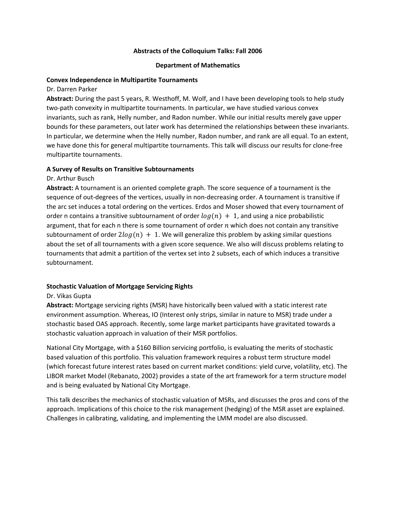### **Abstracts of the Colloquium Talks: Fall 2006**

#### **Department of Mathematics**

#### **Convex Independence in Multipartite Tournaments**

Dr. Darren Parker

**Abstract:** During the past 5 years, R. Westhoff, M. Wolf, and I have been developing tools to help study two‐path convexity in multipartite tournaments. In particular, we have studied various convex invariants, such as rank, Helly number, and Radon number. While our initial results merely gave upper bounds for these parameters, out later work has determined the relationships between these invariants. In particular, we determine when the Helly number, Radon number, and rank are all equal. To an extent, we have done this for general multipartite tournaments. This talk will discuss our results for clone‐free multipartite tournaments.

### **A Survey of Results on Transitive Subtournaments**

### Dr. Arthur Busch

**Abstract:** A tournament is an oriented complete graph. The score sequence of a tournament is the sequence of out-degrees of the vertices, usually in non-decreasing order. A tournament is transitive if the arc set induces a total ordering on the vertices. Erdos and Moser showed that every tournament of order n contains a transitive subtournament of order  $log(n) + 1$ , and using a nice probabilistic argument, that for each n there is some tournament of order  $n$  which does not contain any transitive subtournament of order  $2\log(n) + 1$ . We will generalize this problem by asking similar questions about the set of all tournaments with a given score sequence. We also will discuss problems relating to tournaments that admit a partition of the vertex set into 2 subsets, each of which induces a transitive subtournament.

# **Stochastic Valuation of Mortgage Servicing Rights**

#### Dr. Vikas Gupta

**Abstract:** Mortgage servicing rights (MSR) have historically been valued with a static interest rate environment assumption. Whereas, IO (Interest only strips, similar in nature to MSR) trade under a stochastic based OAS approach. Recently, some large market participants have gravitated towards a stochastic valuation approach in valuation of their MSR portfolios.

National City Mortgage, with a \$160 Billion servicing portfolio, is evaluating the merits of stochastic based valuation of this portfolio. This valuation framework requires a robust term structure model (which forecast future interest rates based on current market conditions: yield curve, volatility, etc). The LIBOR market Model (Rebanato, 2002) provides a state of the art framework for a term structure model and is being evaluated by National City Mortgage.

This talk describes the mechanics of stochastic valuation of MSRs, and discusses the pros and cons of the approach. Implications of this choice to the risk management (hedging) of the MSR asset are explained. Challenges in calibrating, validating, and implementing the LMM model are also discussed.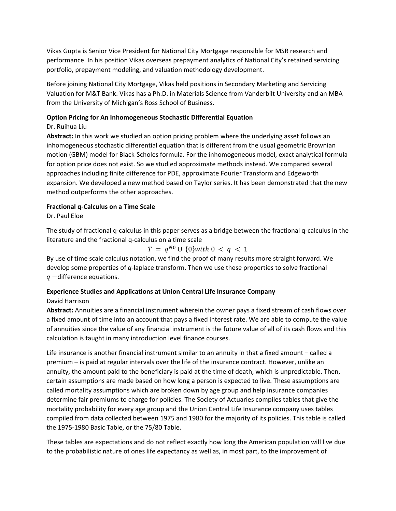Vikas Gupta is Senior Vice President for National City Mortgage responsible for MSR research and performance. In his position Vikas overseas prepayment analytics of National City's retained servicing portfolio, prepayment modeling, and valuation methodology development.

Before joining National City Mortgage, Vikas held positions in Secondary Marketing and Servicing Valuation for M&T Bank. Vikas has a Ph.D. in Materials Science from Vanderbilt University and an MBA from the University of Michigan's Ross School of Business.

# **Option Pricing for An Inhomogeneous Stochastic Differential Equation**

# Dr. Ruihua Liu

**Abstract:** In this work we studied an option pricing problem where the underlying asset follows an inhomogeneous stochastic differential equation that is different from the usual geometric Brownian motion (GBM) model for Black‐Scholes formula. For the inhomogeneous model, exact analytical formula for option price does not exist. So we studied approximate methods instead. We compared several approaches including finite difference for PDE, approximate Fourier Transform and Edgeworth expansion. We developed a new method based on Taylor series. It has been demonstrated that the new method outperforms the other approaches.

# **Fractional q‐Calculus on a Time Scale**

Dr. Paul Eloe

The study of fractional q‐calculus in this paper serves as a bridge between the fractional q‐calculus in the literature and the fractional q‐calculus on a time scale

$$
T = q^{N0} \cup \{0\} with \, 0 < q < 1
$$

By use of time scale calculus notation, we find the proof of many results more straight forward. We develop some properties of *q*‐laplace transform. Then we use these properties to solve fractional  $q$  -difference equations.

# **Experience Studies and Applications at Union Central Life Insurance Company**

# David Harrison

**Abstract:** Annuities are a financial instrument wherein the owner pays a fixed stream of cash flows over a fixed amount of time into an account that pays a fixed interest rate. We are able to compute the value of annuities since the value of any financial instrument is the future value of all of its cash flows and this calculation is taught in many introduction level finance courses.

Life insurance is another financial instrument similar to an annuity in that a fixed amount – called a premium – is paid at regular intervals over the life of the insurance contract. However, unlike an annuity, the amount paid to the beneficiary is paid at the time of death, which is unpredictable. Then, certain assumptions are made based on how long a person is expected to live. These assumptions are called mortality assumptions which are broken down by age group and help insurance companies determine fair premiums to charge for policies. The Society of Actuaries compiles tables that give the mortality probability for every age group and the Union Central Life Insurance company uses tables compiled from data collected between 1975 and 1980 for the majority of its policies. This table is called the 1975‐1980 Basic Table, or the 75/80 Table.

These tables are expectations and do not reflect exactly how long the American population will live due to the probabilistic nature of ones life expectancy as well as, in most part, to the improvement of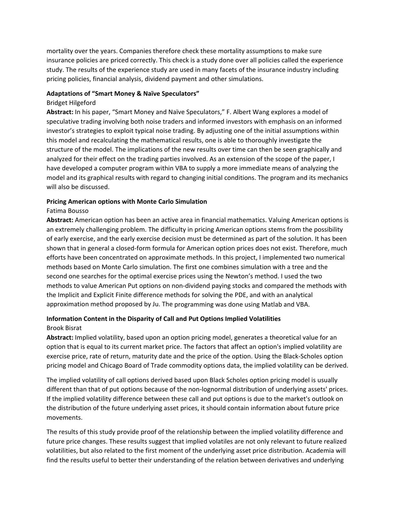mortality over the years. Companies therefore check these mortality assumptions to make sure insurance policies are priced correctly. This check is a study done over all policies called the experience study. The results of the experience study are used in many facets of the insurance industry including pricing policies, financial analysis, dividend payment and other simulations.

### **Adaptations of "Smart Money & Naïve Speculators"**

### Bridget Hilgeford

**Abstract:** In his paper, "Smart Money and Naïve Speculators," F. Albert Wang explores a model of speculative trading involving both noise traders and informed investors with emphasis on an informed investor's strategies to exploit typical noise trading. By adjusting one of the initial assumptions within this model and recalculating the mathematical results, one is able to thoroughly investigate the structure of the model. The implications of the new results over time can then be seen graphically and analyzed for their effect on the trading parties involved. As an extension of the scope of the paper, I have developed a computer program within VBA to supply a more immediate means of analyzing the model and its graphical results with regard to changing initial conditions. The program and its mechanics will also be discussed.

# **Pricing American options with Monte Carlo Simulation**

# Fatima Bousso

**Abstract:** American option has been an active area in financial mathematics. Valuing American options is an extremely challenging problem. The difficulty in pricing American options stems from the possibility of early exercise, and the early exercise decision must be determined as part of the solution. It has been shown that in general a closed‐form formula for American option prices does not exist. Therefore, much efforts have been concentrated on approximate methods. In this project, I implemented two numerical methods based on Monte Carlo simulation. The first one combines simulation with a tree and the second one searches for the optimal exercise prices using the Newton's method. I used the two methods to value American Put options on non‐dividend paying stocks and compared the methods with the Implicit and Explicit Finite difference methods for solving the PDE, and with an analytical approximation method proposed by Ju. The programming was done using Matlab and VBA.

# **Information Content in the Disparity of Call and Put Options Implied Volatilities** Brook Bisrat

**Abstract:** Implied volatility, based upon an option pricing model, generates a theoretical value for an option that is equal to its current market price. The factors that affect an option's implied volatility are exercise price, rate of return, maturity date and the price of the option. Using the Black‐Scholes option pricing model and Chicago Board of Trade commodity options data, the implied volatility can be derived.

The implied volatility of call options derived based upon Black Scholes option pricing model is usually different than that of put options because of the non-lognormal distribution of underlying assets' prices. If the implied volatility difference between these call and put options is due to the market's outlook on the distribution of the future underlying asset prices, it should contain information about future price movements.

The results of this study provide proof of the relationship between the implied volatility difference and future price changes. These results suggest that implied volatiles are not only relevant to future realized volatilities, but also related to the first moment of the underlying asset price distribution. Academia will find the results useful to better their understanding of the relation between derivatives and underlying